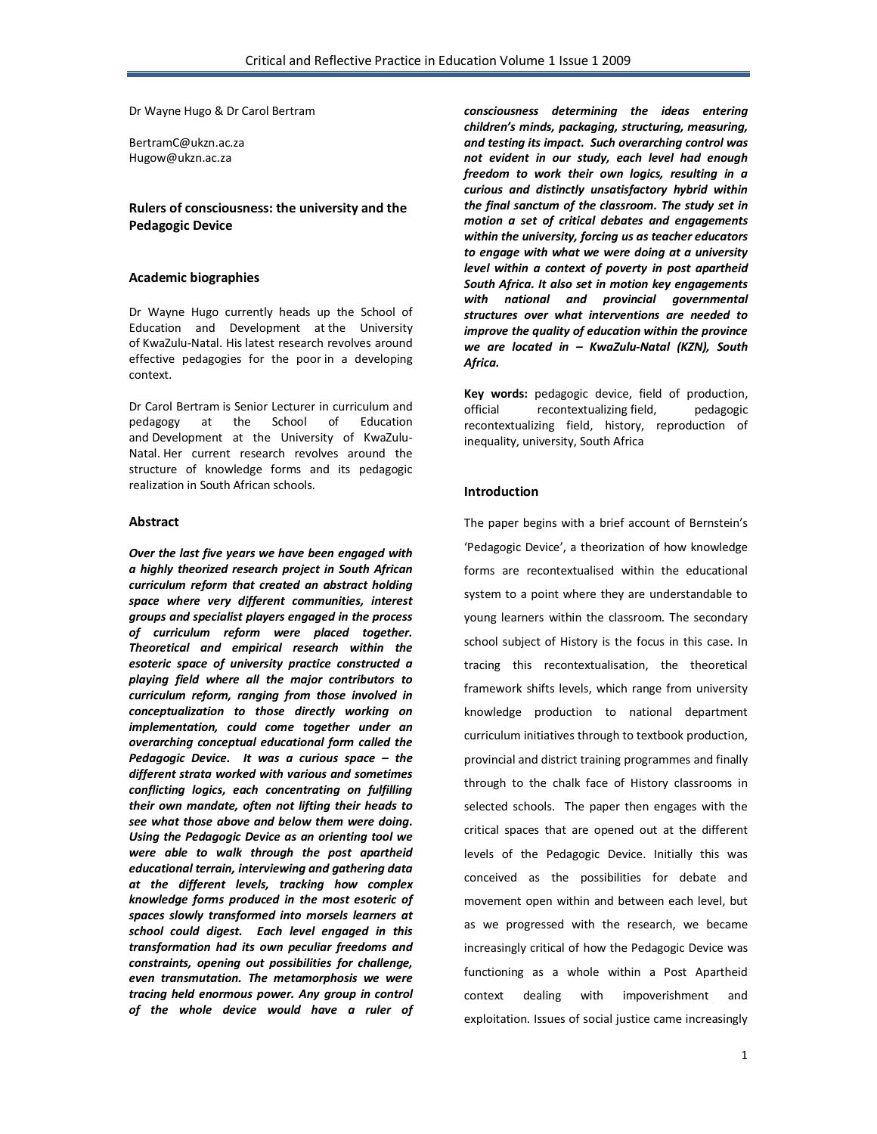Dr Wayne Hugo & Dr Carol Bertram

BertramC@ukzn.ac.za Hugow@ukzn.ac.za

# **Rulers of consciousness: the university and the Pedagogic Device**

## **Academic biographies**

Dr Wayne Hugo currently heads up the School of Education and Development at the University of KwaZulu-Natal. His latest research revolves around effective pedagogies for the poor in a developing context.

Dr Carol Bertram is Senior Lecturer in curriculum and pedagogy at the School of Education and Development at the University of KwaZulu-Natal. Her current research revolves around the structure of knowledge forms and its pedagogic realization in South African schools.

### **Abstract**

*Over the last five years we have been engaged with a highly theorized research project in South African curriculum reform that created an abstract holding space where very different communities, interest groups and specialist players engaged in the process of curriculum reform were placed together. Theoretical and empirical research within the esoteric space of university practice constructed a playing field where all the major contributors to curriculum reform, ranging from those involved in conceptualization to those directly working on implementation, could come together under an overarching conceptual educational form called the Pedagogic Device. It was a curious space – the different strata worked with various and sometimes conflicting logics, each concentrating on fulfilling their own mandate, often not lifting their heads to see what those above and below them were doing. Using the Pedagogic Device as an orienting tool we were able to walk through the post apartheid educational terrain, interviewing and gathering data at the different levels, tracking how complex knowledge forms produced in the most esoteric of spaces slowly transformed into morsels learners at school could digest. Each level engaged in this transformation had its own peculiar freedoms and constraints, opening out possibilities for challenge, even transmutation. The metamorphosis we were tracing held enormous power. Any group in control of the whole device would have a ruler of* 

*consciousness determining the ideas entering children's minds, packaging, structuring, measuring, and testing its impact. Such overarching control was not evident in our study, each level had enough freedom to work their own logics, resulting in a curious and distinctly unsatisfactory hybrid within the final sanctum of the classroom. The study set in motion a set of critical debates and engagements within the university, forcing us as teacher educators to engage with what we were doing at a university level within a context of poverty in post apartheid South Africa. It also set in motion key engagements with national and provincial governmental structures over what interventions are needed to improve the quality of education within the province we are located in – KwaZulu-Natal (KZN), South Africa.*

**Key words:** pedagogic device, field of production, official recontextualizing field, pedagogic recontextualizing field, history, reproduction of inequality, university, South Africa

## **Introduction**

The paper begins with a brief account of Bernstein's 'Pedagogic Device', a theorization of how knowledge forms are recontextualised within the educational system to a point where they are understandable to young learners within the classroom. The secondary school subject of History is the focus in this case. In tracing this recontextualisation, the theoretical framework shifts levels, which range from university knowledge production to national department curriculum initiatives through to textbook production, provincial and district training programmes and finally through to the chalk face of History classrooms in selected schools. The paper then engages with the critical spaces that are opened out at the different levels of the Pedagogic Device. Initially this was conceived as the possibilities for debate and movement open within and between each level, but as we progressed with the research, we became increasingly critical of how the Pedagogic Device was functioning as a whole within a Post Apartheid context dealing with impoverishment and exploitation. Issues of social justice came increasingly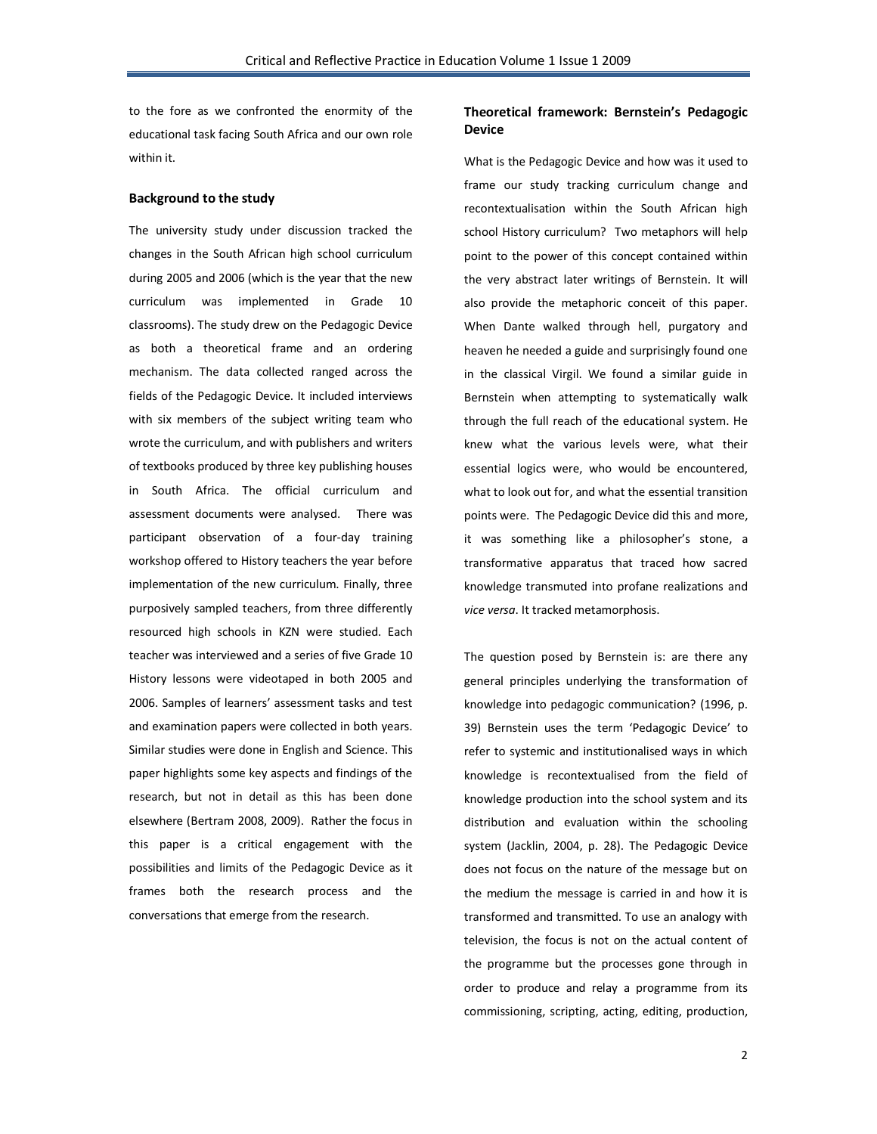to the fore as we confronted the enormity of the educational task facing South Africa and our own role within it.

### **Background to the study**

The university study under discussion tracked the changes in the South African high school curriculum during 2005 and 2006 (which is the year that the new curriculum was implemented in Grade 10 classrooms). The study drew on the Pedagogic Device as both a theoretical frame and an ordering mechanism. The data collected ranged across the fields of the Pedagogic Device. It included interviews with six members of the subject writing team who wrote the curriculum, and with publishers and writers of textbooks produced by three key publishing houses in South Africa. The official curriculum and assessment documents were analysed. There was participant observation of a four-day training workshop offered to History teachers the year before implementation of the new curriculum. Finally, three purposively sampled teachers, from three differently resourced high schools in KZN were studied. Each teacher was interviewed and a series of five Grade 10 History lessons were videotaped in both 2005 and 2006. Samples of learners' assessment tasks and test and examination papers were collected in both years. Similar studies were done in English and Science. This paper highlights some key aspects and findings of the research, but not in detail as this has been done elsewhere (Bertram 2008, 2009). Rather the focus in this paper is a critical engagement with the possibilities and limits of the Pedagogic Device as it frames both the research process and the conversations that emerge from the research.

# **Theoretical framework: Bernstein's Pedagogic Device**

What is the Pedagogic Device and how was it used to frame our study tracking curriculum change and recontextualisation within the South African high school History curriculum? Two metaphors will help point to the power of this concept contained within the very abstract later writings of Bernstein. It will also provide the metaphoric conceit of this paper. When Dante walked through hell, purgatory and heaven he needed a guide and surprisingly found one in the classical Virgil. We found a similar guide in Bernstein when attempting to systematically walk through the full reach of the educational system. He knew what the various levels were, what their essential logics were, who would be encountered, what to look out for, and what the essential transition points were. The Pedagogic Device did this and more, it was something like a philosopher's stone, a transformative apparatus that traced how sacred knowledge transmuted into profane realizations and *vice versa*. It tracked metamorphosis.

The question posed by Bernstein is: are there any general principles underlying the transformation of knowledge into pedagogic communication? (1996, p. 39) Bernstein uses the term 'Pedagogic Device' to refer to systemic and institutionalised ways in which knowledge is recontextualised from the field of knowledge production into the school system and its distribution and evaluation within the schooling system (Jacklin, 2004, p. 28). The Pedagogic Device does not focus on the nature of the message but on the medium the message is carried in and how it is transformed and transmitted. To use an analogy with television, the focus is not on the actual content of the programme but the processes gone through in order to produce and relay a programme from its commissioning, scripting, acting, editing, production,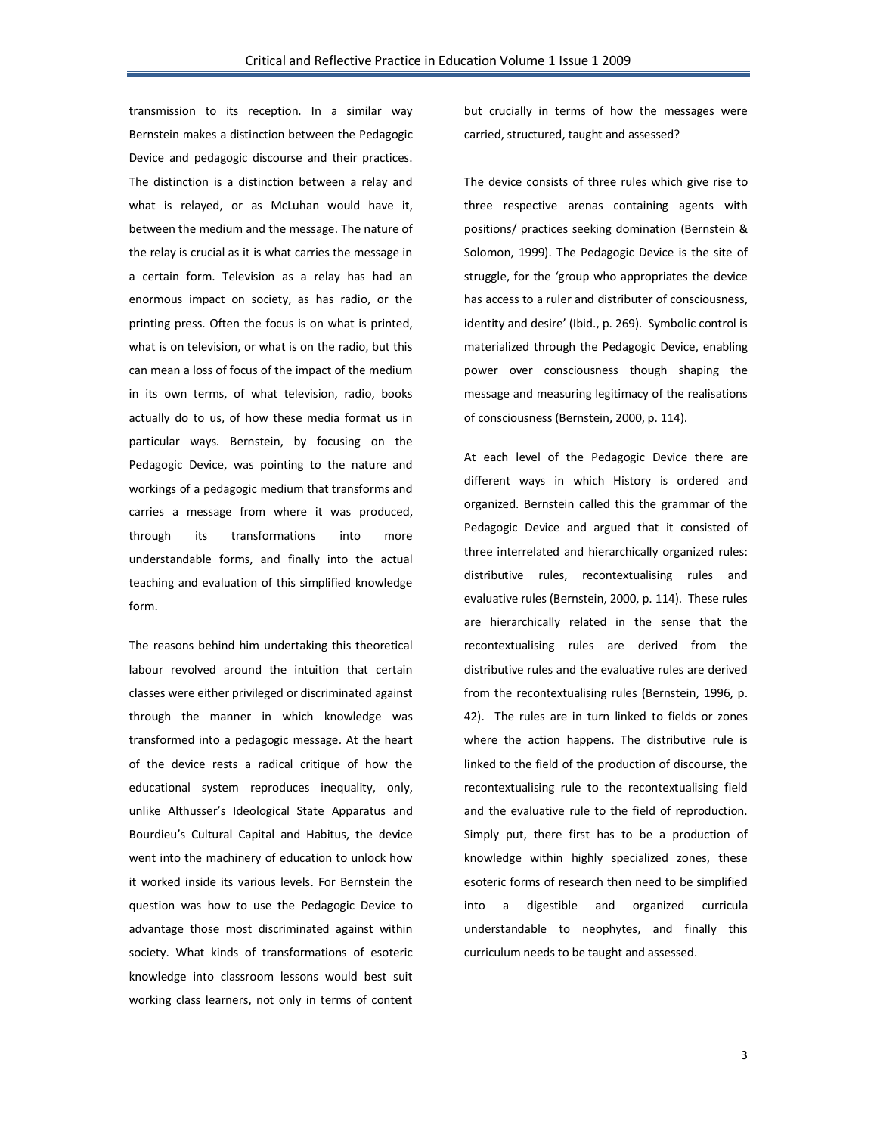transmission to its reception. In a similar way Bernstein makes a distinction between the Pedagogic Device and pedagogic discourse and their practices. The distinction is a distinction between a relay and what is relayed, or as McLuhan would have it, between the medium and the message. The nature of the relay is crucial as it is what carries the message in a certain form. Television as a relay has had an enormous impact on society, as has radio, or the printing press. Often the focus is on what is printed, what is on television, or what is on the radio, but this can mean a loss of focus of the impact of the medium in its own terms, of what television, radio, books actually do to us, of how these media format us in particular ways. Bernstein, by focusing on the Pedagogic Device, was pointing to the nature and workings of a pedagogic medium that transforms and carries a message from where it was produced, through its transformations into more understandable forms, and finally into the actual teaching and evaluation of this simplified knowledge form.

The reasons behind him undertaking this theoretical labour revolved around the intuition that certain classes were either privileged or discriminated against through the manner in which knowledge was transformed into a pedagogic message. At the heart of the device rests a radical critique of how the educational system reproduces inequality, only, unlike Althusser's Ideological State Apparatus and Bourdieu's Cultural Capital and Habitus, the device went into the machinery of education to unlock how it worked inside its various levels. For Bernstein the question was how to use the Pedagogic Device to advantage those most discriminated against within society. What kinds of transformations of esoteric knowledge into classroom lessons would best suit working class learners, not only in terms of content

but crucially in terms of how the messages were carried, structured, taught and assessed?

The device consists of three rules which give rise to three respective arenas containing agents with positions/ practices seeking domination (Bernstein & Solomon, 1999). The Pedagogic Device is the site of struggle, for the 'group who appropriates the device has access to a ruler and distributer of consciousness, identity and desire' (Ibid., p. 269). Symbolic control is materialized through the Pedagogic Device, enabling power over consciousness though shaping the message and measuring legitimacy of the realisations of consciousness (Bernstein, 2000, p. 114).

At each level of the Pedagogic Device there are different ways in which History is ordered and organized. Bernstein called this the grammar of the Pedagogic Device and argued that it consisted of three interrelated and hierarchically organized rules: distributive rules, recontextualising rules and evaluative rules (Bernstein, 2000, p. 114). These rules are hierarchically related in the sense that the recontextualising rules are derived from the distributive rules and the evaluative rules are derived from the recontextualising rules (Bernstein, 1996, p. 42). The rules are in turn linked to fields or zones where the action happens. The distributive rule is linked to the field of the production of discourse, the recontextualising rule to the recontextualising field and the evaluative rule to the field of reproduction. Simply put, there first has to be a production of knowledge within highly specialized zones, these esoteric forms of research then need to be simplified into a digestible and organized curricula understandable to neophytes, and finally this curriculum needs to be taught and assessed.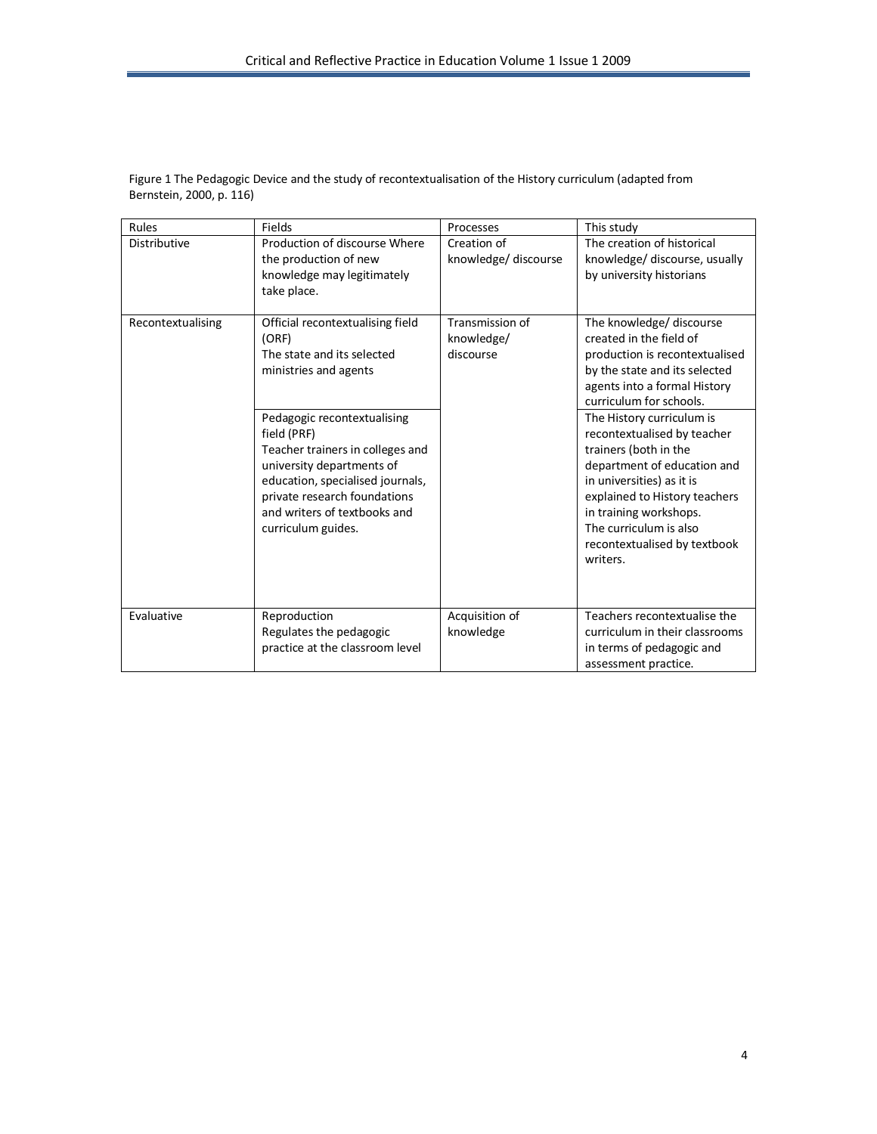| Rules               | <b>Fields</b>                                                                                                                                                                                                                                                                                                                             | Processes                                  | This study                                                                                                                                                                                                                                                                                                                                                                                                                                                          |
|---------------------|-------------------------------------------------------------------------------------------------------------------------------------------------------------------------------------------------------------------------------------------------------------------------------------------------------------------------------------------|--------------------------------------------|---------------------------------------------------------------------------------------------------------------------------------------------------------------------------------------------------------------------------------------------------------------------------------------------------------------------------------------------------------------------------------------------------------------------------------------------------------------------|
| <b>Distributive</b> | Production of discourse Where<br>the production of new<br>knowledge may legitimately<br>take place.                                                                                                                                                                                                                                       | Creation of<br>knowledge/ discourse        | The creation of historical<br>knowledge/ discourse, usually<br>by university historians                                                                                                                                                                                                                                                                                                                                                                             |
| Recontextualising   | Official recontextualising field<br>(ORF)<br>The state and its selected<br>ministries and agents<br>Pedagogic recontextualising<br>field (PRF)<br>Teacher trainers in colleges and<br>university departments of<br>education, specialised journals,<br>private research foundations<br>and writers of textbooks and<br>curriculum guides. | Transmission of<br>knowledge/<br>discourse | The knowledge/ discourse<br>created in the field of<br>production is recontextualised<br>by the state and its selected<br>agents into a formal History<br>curriculum for schools.<br>The History curriculum is<br>recontextualised by teacher<br>trainers (both in the<br>department of education and<br>in universities) as it is<br>explained to History teachers<br>in training workshops.<br>The curriculum is also<br>recontextualised by textbook<br>writers. |
| Evaluative          | Reproduction<br>Regulates the pedagogic<br>practice at the classroom level                                                                                                                                                                                                                                                                | Acquisition of<br>knowledge                | Teachers recontextualise the<br>curriculum in their classrooms<br>in terms of pedagogic and<br>assessment practice.                                                                                                                                                                                                                                                                                                                                                 |

Figure 1 The Pedagogic Device and the study of recontextualisation of the History curriculum (adapted from Bernstein, 2000, p. 116)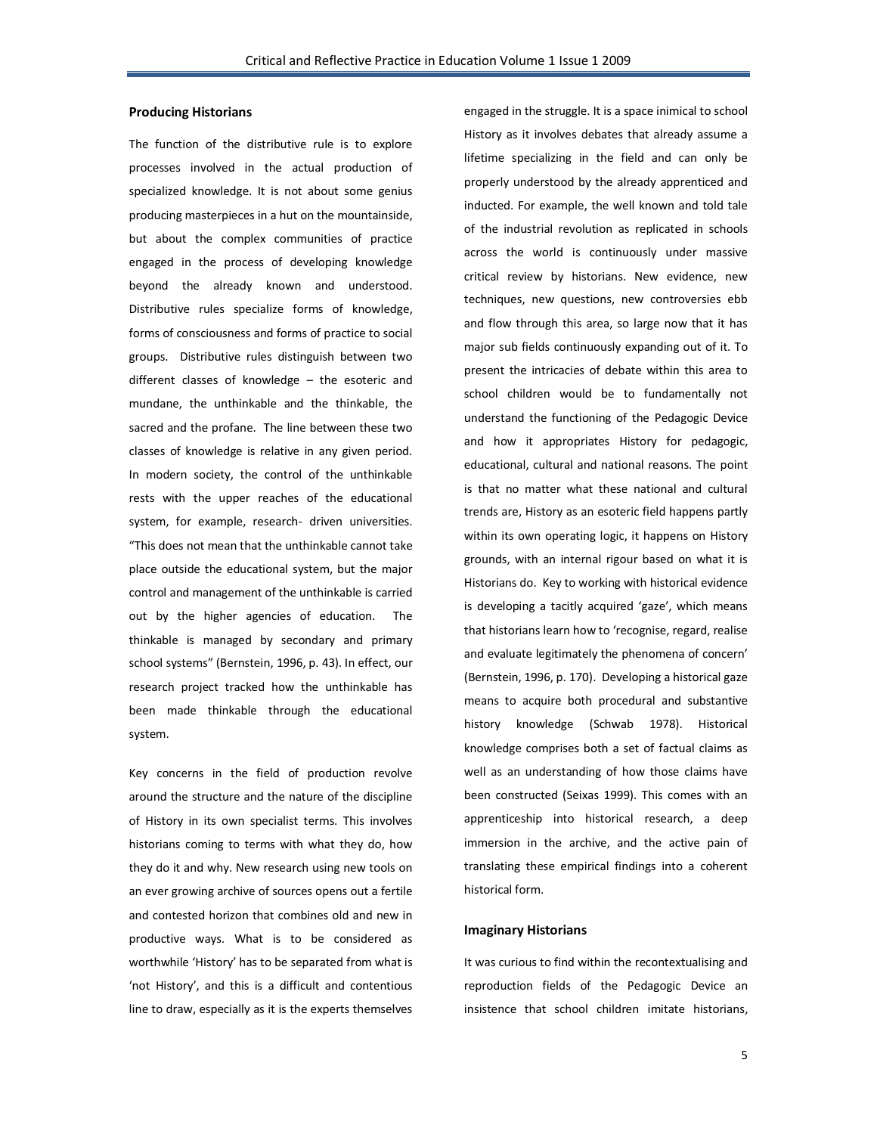#### **Producing Historians**

The function of the distributive rule is to explore processes involved in the actual production of specialized knowledge. It is not about some genius producing masterpieces in a hut on the mountainside, but about the complex communities of practice engaged in the process of developing knowledge beyond the already known and understood. Distributive rules specialize forms of knowledge, forms of consciousness and forms of practice to social groups. Distributive rules distinguish between two different classes of knowledge – the esoteric and mundane, the unthinkable and the thinkable, the sacred and the profane. The line between these two classes of knowledge is relative in any given period. In modern society, the control of the unthinkable rests with the upper reaches of the educational system, for example, research- driven universities. "This does not mean that the unthinkable cannot take place outside the educational system, but the major control and management of the unthinkable is carried out by the higher agencies of education. The thinkable is managed by secondary and primary school systems" (Bernstein, 1996, p. 43). In effect, our research project tracked how the unthinkable has been made thinkable through the educational system.

Key concerns in the field of production revolve around the structure and the nature of the discipline of History in its own specialist terms. This involves historians coming to terms with what they do, how they do it and why. New research using new tools on an ever growing archive of sources opens out a fertile and contested horizon that combines old and new in productive ways. What is to be considered as worthwhile 'History' has to be separated from what is 'not History', and this is a difficult and contentious line to draw, especially as it is the experts themselves

engaged in the struggle. It is a space inimical to school History as it involves debates that already assume a lifetime specializing in the field and can only be properly understood by the already apprenticed and inducted. For example, the well known and told tale of the industrial revolution as replicated in schools across the world is continuously under massive critical review by historians. New evidence, new techniques, new questions, new controversies ebb and flow through this area, so large now that it has major sub fields continuously expanding out of it. To present the intricacies of debate within this area to school children would be to fundamentally not understand the functioning of the Pedagogic Device and how it appropriates History for pedagogic, educational, cultural and national reasons. The point is that no matter what these national and cultural trends are, History as an esoteric field happens partly within its own operating logic, it happens on History grounds, with an internal rigour based on what it is Historians do. Key to working with historical evidence is developing a tacitly acquired 'gaze', which means that historians learn how to 'recognise, regard, realise and evaluate legitimately the phenomena of concern' (Bernstein, 1996, p. 170). Developing a historical gaze means to acquire both procedural and substantive history knowledge (Schwab 1978). Historical knowledge comprises both a set of factual claims as well as an understanding of how those claims have been constructed (Seixas 1999). This comes with an apprenticeship into historical research, a deep immersion in the archive, and the active pain of translating these empirical findings into a coherent historical form.

## **Imaginary Historians**

It was curious to find within the recontextualising and reproduction fields of the Pedagogic Device an insistence that school children imitate historians,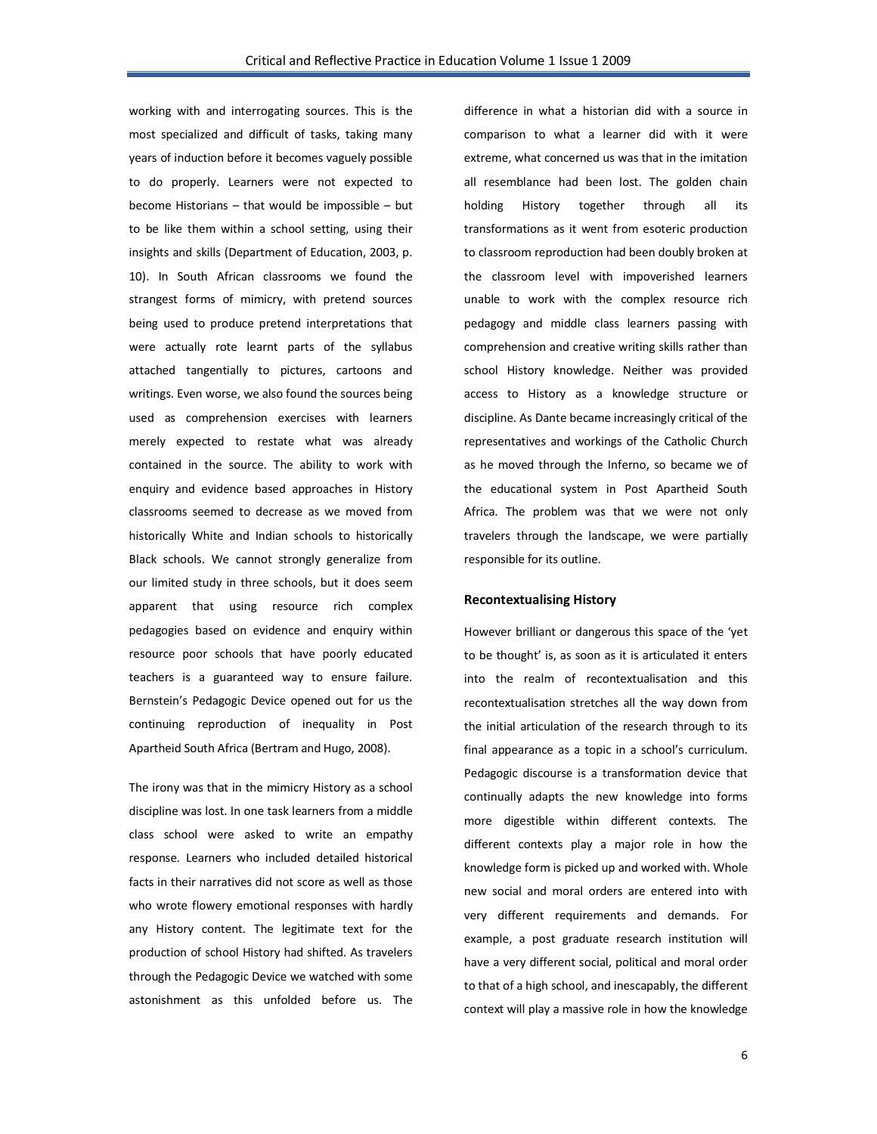working with and interrogating sources. This is the most specialized and difficult of tasks, taking many years of induction before it becomes vaguely possible to do properly. Learners were not expected to become Historians – that would be impossible – but to be like them within a school setting, using their insights and skills (Department of Education, 2003, p. 10). In South African classrooms we found the strangest forms of mimicry, with pretend sources being used to produce pretend interpretations that were actually rote learnt parts of the syllabus attached tangentially to pictures, cartoons and writings. Even worse, we also found the sources being used as comprehension exercises with learners merely expected to restate what was already contained in the source. The ability to work with enquiry and evidence based approaches in History classrooms seemed to decrease as we moved from historically White and Indian schools to historically Black schools. We cannot strongly generalize from our limited study in three schools, but it does seem apparent that using resource rich complex pedagogies based on evidence and enquiry within resource poor schools that have poorly educated teachers is a guaranteed way to ensure failure. Bernstein's Pedagogic Device opened out for us the continuing reproduction of inequality in Post Apartheid South Africa (Bertram and Hugo, 2008).

The irony was that in the mimicry History as a school discipline was lost. In one task learners from a middle class school were asked to write an empathy response. Learners who included detailed historical facts in their narratives did not score as well as those who wrote flowery emotional responses with hardly any History content. The legitimate text for the production of school History had shifted. As travelers through the Pedagogic Device we watched with some astonishment as this unfolded before us. The

difference in what a historian did with a source in comparison to what a learner did with it were extreme, what concerned us was that in the imitation all resemblance had been lost. The golden chain holding History together through all its transformations as it went from esoteric production to classroom reproduction had been doubly broken at the classroom level with impoverished learners unable to work with the complex resource rich pedagogy and middle class learners passing with comprehension and creative writing skills rather than school History knowledge. Neither was provided access to History as a knowledge structure or discipline. As Dante became increasingly critical of the representatives and workings of the Catholic Church as he moved through the Inferno, so became we of the educational system in Post Apartheid South Africa. The problem was that we were not only travelers through the landscape, we were partially responsible for its outline.

### **Recontextualising History**

However brilliant or dangerous this space of the 'yet to be thought' is, as soon as it is articulated it enters into the realm of recontextualisation and this recontextualisation stretches all the way down from the initial articulation of the research through to its final appearance as a topic in a school's curriculum. Pedagogic discourse is a transformation device that continually adapts the new knowledge into forms more digestible within different contexts. The different contexts play a major role in how the knowledge form is picked up and worked with. Whole new social and moral orders are entered into with very different requirements and demands. For example, a post graduate research institution will have a very different social, political and moral order to that of a high school, and inescapably, the different context will play a massive role in how the knowledge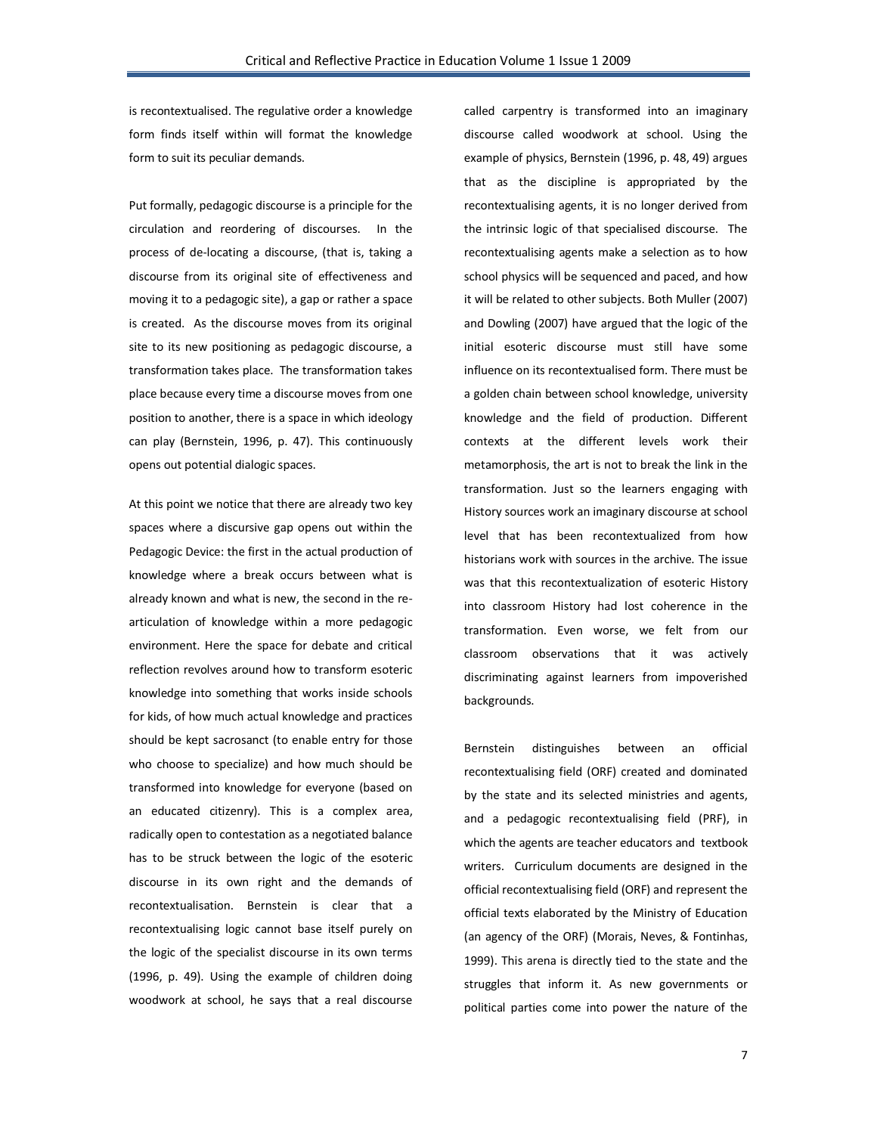is recontextualised. The regulative order a knowledge form finds itself within will format the knowledge form to suit its peculiar demands.

Put formally, pedagogic discourse is a principle for the circulation and reordering of discourses. In the process of de-locating a discourse, (that is, taking a discourse from its original site of effectiveness and moving it to a pedagogic site), a gap or rather a space is created. As the discourse moves from its original site to its new positioning as pedagogic discourse, a transformation takes place. The transformation takes place because every time a discourse moves from one position to another, there is a space in which ideology can play (Bernstein, 1996, p. 47). This continuously opens out potential dialogic spaces.

At this point we notice that there are already two key spaces where a discursive gap opens out within the Pedagogic Device: the first in the actual production of knowledge where a break occurs between what is already known and what is new, the second in the rearticulation of knowledge within a more pedagogic environment. Here the space for debate and critical reflection revolves around how to transform esoteric knowledge into something that works inside schools for kids, of how much actual knowledge and practices should be kept sacrosanct (to enable entry for those who choose to specialize) and how much should be transformed into knowledge for everyone (based on an educated citizenry). This is a complex area, radically open to contestation as a negotiated balance has to be struck between the logic of the esoteric discourse in its own right and the demands of recontextualisation. Bernstein is clear that a recontextualising logic cannot base itself purely on the logic of the specialist discourse in its own terms (1996, p. 49). Using the example of children doing woodwork at school, he says that a real discourse

called carpentry is transformed into an imaginary discourse called woodwork at school. Using the example of physics, Bernstein (1996, p. 48, 49) argues that as the discipline is appropriated by the recontextualising agents, it is no longer derived from the intrinsic logic of that specialised discourse. The recontextualising agents make a selection as to how school physics will be sequenced and paced, and how it will be related to other subjects. Both Muller (2007) and Dowling (2007) have argued that the logic of the initial esoteric discourse must still have some influence on its recontextualised form. There must be a golden chain between school knowledge, university knowledge and the field of production. Different contexts at the different levels work their metamorphosis, the art is not to break the link in the transformation. Just so the learners engaging with History sources work an imaginary discourse at school level that has been recontextualized from how historians work with sources in the archive. The issue was that this recontextualization of esoteric History into classroom History had lost coherence in the transformation. Even worse, we felt from our classroom observations that it was actively discriminating against learners from impoverished backgrounds.

Bernstein distinguishes between an official recontextualising field (ORF) created and dominated by the state and its selected ministries and agents, and a pedagogic recontextualising field (PRF), in which the agents are teacher educators and textbook writers. Curriculum documents are designed in the official recontextualising field (ORF) and represent the official texts elaborated by the Ministry of Education (an agency of the ORF) (Morais, Neves, & Fontinhas, 1999). This arena is directly tied to the state and the struggles that inform it. As new governments or political parties come into power the nature of the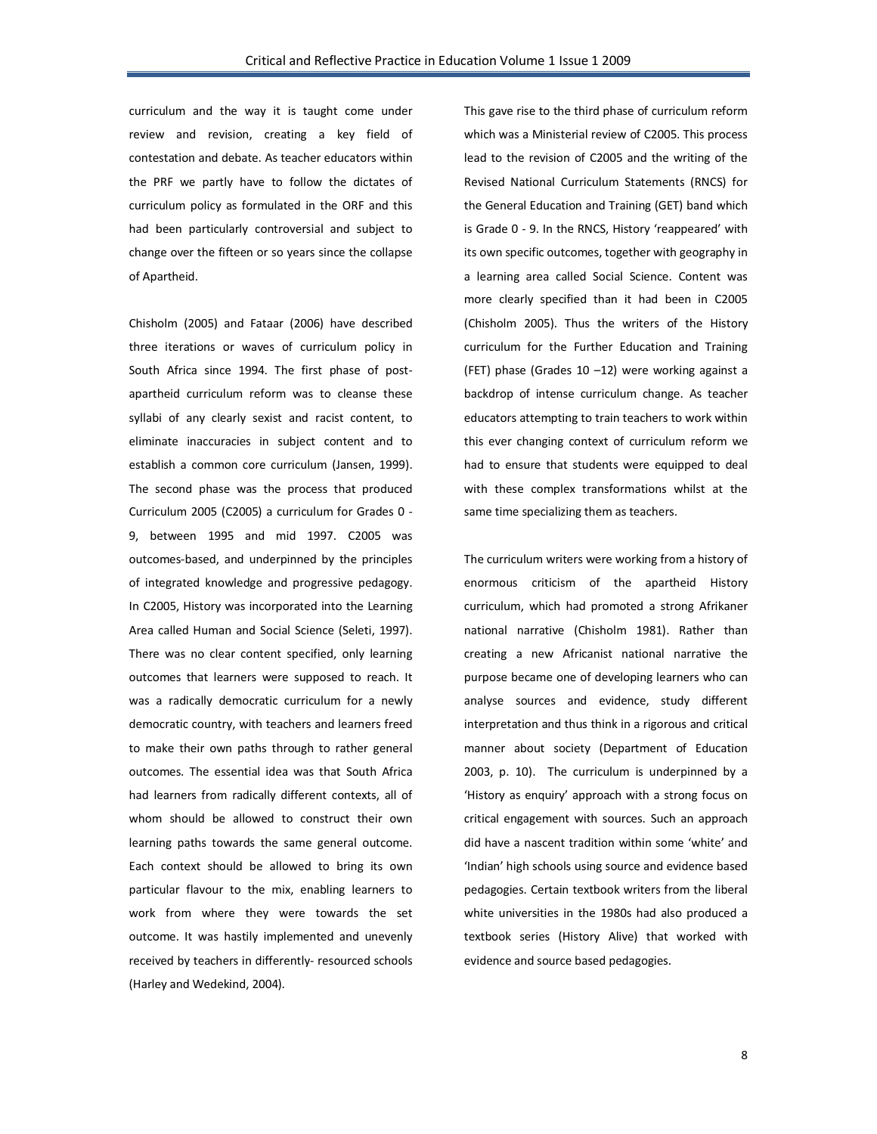curriculum and the way it is taught come under review and revision, creating a key field of contestation and debate. As teacher educators within the PRF we partly have to follow the dictates of curriculum policy as formulated in the ORF and this had been particularly controversial and subject to change over the fifteen or so years since the collapse of Apartheid.

Chisholm (2005) and Fataar (2006) have described three iterations or waves of curriculum policy in South Africa since 1994. The first phase of postapartheid curriculum reform was to cleanse these syllabi of any clearly sexist and racist content, to eliminate inaccuracies in subject content and to establish a common core curriculum (Jansen, 1999). The second phase was the process that produced Curriculum 2005 (C2005) a curriculum for Grades 0 - 9, between 1995 and mid 1997. C2005 was outcomes-based, and underpinned by the principles of integrated knowledge and progressive pedagogy. In C2005, History was incorporated into the Learning Area called Human and Social Science (Seleti, 1997). There was no clear content specified, only learning outcomes that learners were supposed to reach. It was a radically democratic curriculum for a newly democratic country, with teachers and learners freed to make their own paths through to rather general outcomes. The essential idea was that South Africa had learners from radically different contexts, all of whom should be allowed to construct their own learning paths towards the same general outcome. Each context should be allowed to bring its own particular flavour to the mix, enabling learners to work from where they were towards the set outcome. It was hastily implemented and unevenly received by teachers in differently- resourced schools (Harley and Wedekind, 2004).

This gave rise to the third phase of curriculum reform which was a Ministerial review of C2005. This process lead to the revision of C2005 and the writing of the Revised National Curriculum Statements (RNCS) for the General Education and Training (GET) band which is Grade 0 - 9. In the RNCS, History 'reappeared' with its own specific outcomes, together with geography in a learning area called Social Science. Content was more clearly specified than it had been in C2005 (Chisholm 2005). Thus the writers of the History curriculum for the Further Education and Training (FET) phase (Grades  $10 - 12$ ) were working against a backdrop of intense curriculum change. As teacher educators attempting to train teachers to work within this ever changing context of curriculum reform we had to ensure that students were equipped to deal with these complex transformations whilst at the same time specializing them as teachers.

The curriculum writers were working from a history of enormous criticism of the apartheid History curriculum, which had promoted a strong Afrikaner national narrative (Chisholm 1981). Rather than creating a new Africanist national narrative the purpose became one of developing learners who can analyse sources and evidence, study different interpretation and thus think in a rigorous and critical manner about society (Department of Education 2003, p. 10). The curriculum is underpinned by a 'History as enquiry' approach with a strong focus on critical engagement with sources. Such an approach did have a nascent tradition within some 'white' and 'Indian' high schools using source and evidence based pedagogies. Certain textbook writers from the liberal white universities in the 1980s had also produced a textbook series (History Alive) that worked with evidence and source based pedagogies.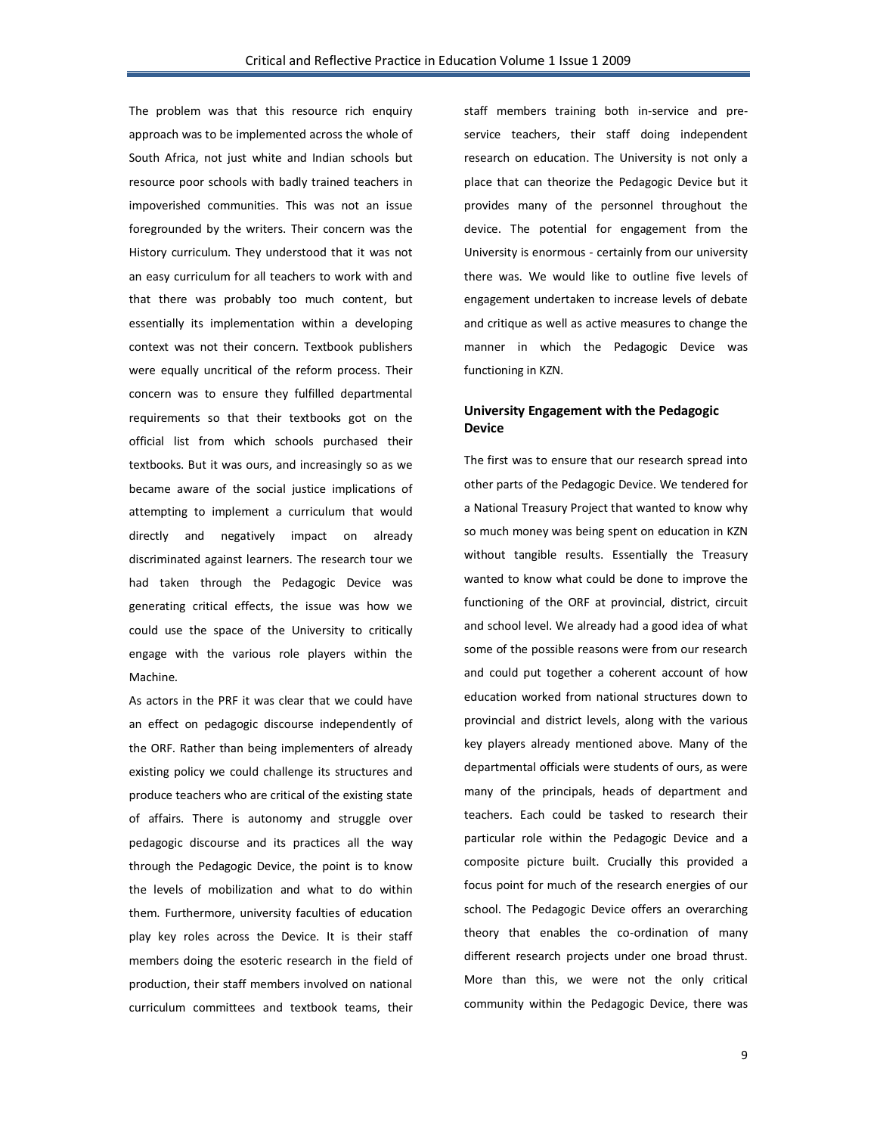The problem was that this resource rich enquiry approach was to be implemented across the whole of South Africa, not just white and Indian schools but resource poor schools with badly trained teachers in impoverished communities. This was not an issue foregrounded by the writers. Their concern was the History curriculum. They understood that it was not an easy curriculum for all teachers to work with and that there was probably too much content, but essentially its implementation within a developing context was not their concern. Textbook publishers were equally uncritical of the reform process. Their concern was to ensure they fulfilled departmental requirements so that their textbooks got on the official list from which schools purchased their textbooks. But it was ours, and increasingly so as we became aware of the social justice implications of attempting to implement a curriculum that would directly and negatively impact on already discriminated against learners. The research tour we had taken through the Pedagogic Device was generating critical effects, the issue was how we could use the space of the University to critically engage with the various role players within the Machine.

As actors in the PRF it was clear that we could have an effect on pedagogic discourse independently of the ORF. Rather than being implementers of already existing policy we could challenge its structures and produce teachers who are critical of the existing state of affairs. There is autonomy and struggle over pedagogic discourse and its practices all the way through the Pedagogic Device, the point is to know the levels of mobilization and what to do within them. Furthermore, university faculties of education play key roles across the Device. It is their staff members doing the esoteric research in the field of production, their staff members involved on national curriculum committees and textbook teams, their

staff members training both in-service and preservice teachers, their staff doing independent research on education. The University is not only a place that can theorize the Pedagogic Device but it provides many of the personnel throughout the device. The potential for engagement from the University is enormous - certainly from our university there was. We would like to outline five levels of engagement undertaken to increase levels of debate and critique as well as active measures to change the manner in which the Pedagogic Device was functioning in KZN.

# **University Engagement with the Pedagogic Device**

The first was to ensure that our research spread into other parts of the Pedagogic Device. We tendered for a National Treasury Project that wanted to know why so much money was being spent on education in KZN without tangible results. Essentially the Treasury wanted to know what could be done to improve the functioning of the ORF at provincial, district, circuit and school level. We already had a good idea of what some of the possible reasons were from our research and could put together a coherent account of how education worked from national structures down to provincial and district levels, along with the various key players already mentioned above. Many of the departmental officials were students of ours, as were many of the principals, heads of department and teachers. Each could be tasked to research their particular role within the Pedagogic Device and a composite picture built. Crucially this provided a focus point for much of the research energies of our school. The Pedagogic Device offers an overarching theory that enables the co-ordination of many different research projects under one broad thrust. More than this, we were not the only critical community within the Pedagogic Device, there was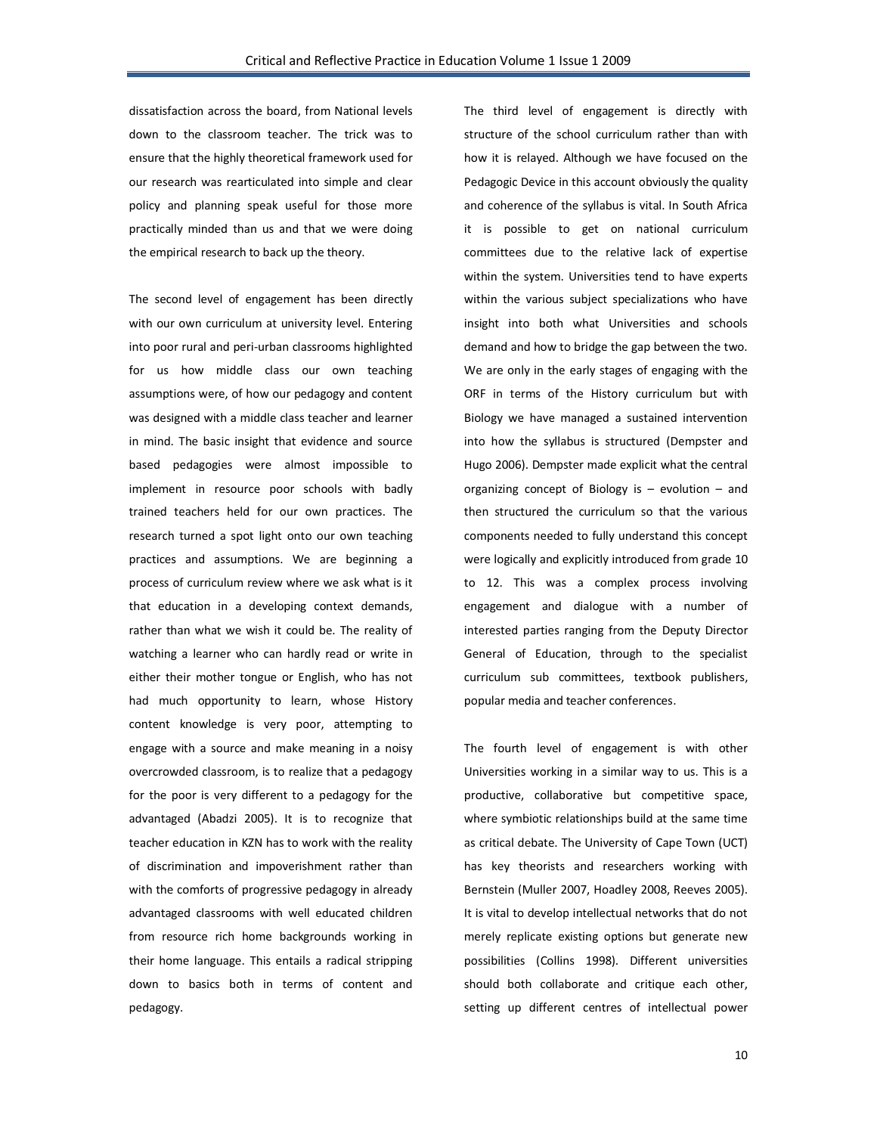dissatisfaction across the board, from National levels down to the classroom teacher. The trick was to ensure that the highly theoretical framework used for our research was rearticulated into simple and clear policy and planning speak useful for those more practically minded than us and that we were doing the empirical research to back up the theory.

The second level of engagement has been directly with our own curriculum at university level. Entering into poor rural and peri-urban classrooms highlighted for us how middle class our own teaching assumptions were, of how our pedagogy and content was designed with a middle class teacher and learner in mind. The basic insight that evidence and source based pedagogies were almost impossible to implement in resource poor schools with badly trained teachers held for our own practices. The research turned a spot light onto our own teaching practices and assumptions. We are beginning a process of curriculum review where we ask what is it that education in a developing context demands, rather than what we wish it could be. The reality of watching a learner who can hardly read or write in either their mother tongue or English, who has not had much opportunity to learn, whose History content knowledge is very poor, attempting to engage with a source and make meaning in a noisy overcrowded classroom, is to realize that a pedagogy for the poor is very different to a pedagogy for the advantaged (Abadzi 2005). It is to recognize that teacher education in KZN has to work with the reality of discrimination and impoverishment rather than with the comforts of progressive pedagogy in already advantaged classrooms with well educated children from resource rich home backgrounds working in their home language. This entails a radical stripping down to basics both in terms of content and pedagogy.

The third level of engagement is directly with structure of the school curriculum rather than with how it is relayed. Although we have focused on the Pedagogic Device in this account obviously the quality and coherence of the syllabus is vital. In South Africa it is possible to get on national curriculum committees due to the relative lack of expertise within the system. Universities tend to have experts within the various subject specializations who have insight into both what Universities and schools demand and how to bridge the gap between the two. We are only in the early stages of engaging with the ORF in terms of the History curriculum but with Biology we have managed a sustained intervention into how the syllabus is structured (Dempster and Hugo 2006). Dempster made explicit what the central organizing concept of Biology is – evolution – and then structured the curriculum so that the various components needed to fully understand this concept were logically and explicitly introduced from grade 10 to 12. This was a complex process involving engagement and dialogue with a number of interested parties ranging from the Deputy Director General of Education, through to the specialist curriculum sub committees, textbook publishers, popular media and teacher conferences.

The fourth level of engagement is with other Universities working in a similar way to us. This is a productive, collaborative but competitive space, where symbiotic relationships build at the same time as critical debate. The University of Cape Town (UCT) has key theorists and researchers working with Bernstein (Muller 2007, Hoadley 2008, Reeves 2005). It is vital to develop intellectual networks that do not merely replicate existing options but generate new possibilities (Collins 1998). Different universities should both collaborate and critique each other, setting up different centres of intellectual power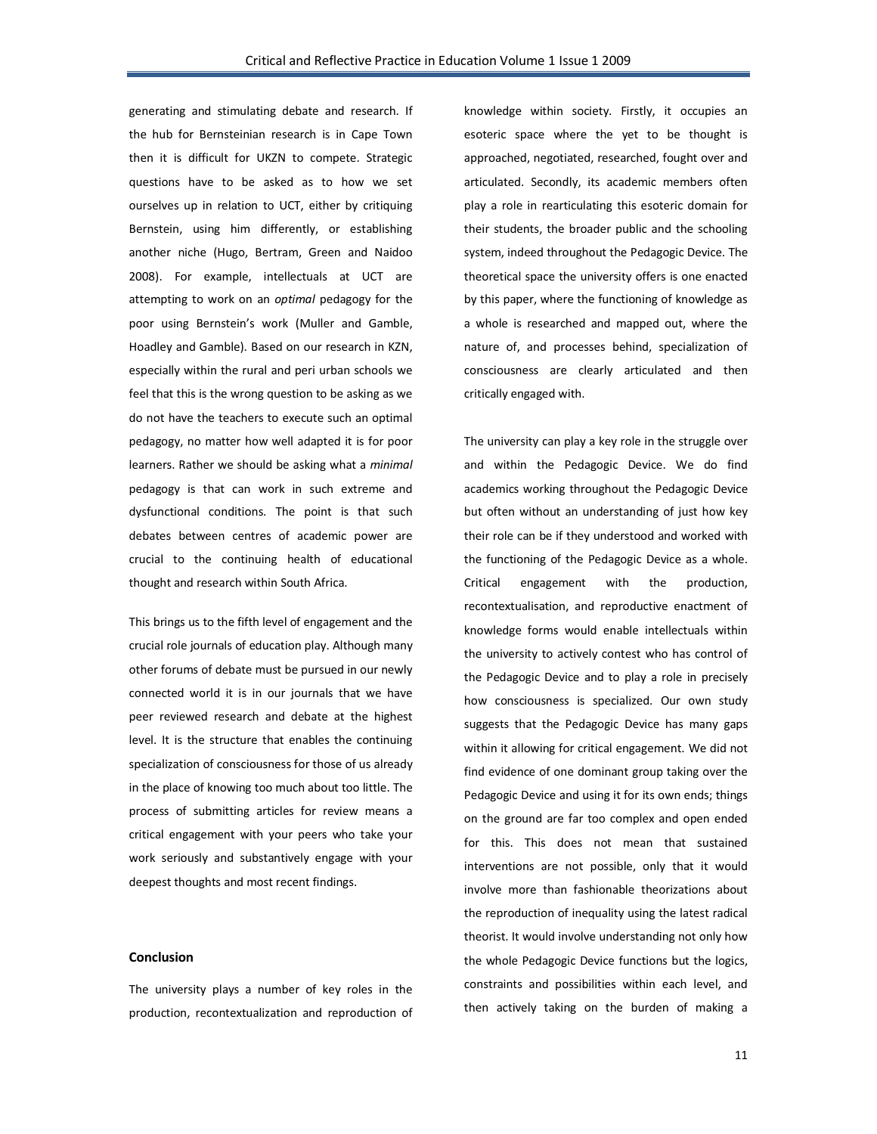generating and stimulating debate and research. If the hub for Bernsteinian research is in Cape Town then it is difficult for UKZN to compete. Strategic questions have to be asked as to how we set ourselves up in relation to UCT, either by critiquing Bernstein, using him differently, or establishing another niche (Hugo, Bertram, Green and Naidoo 2008). For example, intellectuals at UCT are attempting to work on an *optimal* pedagogy for the poor using Bernstein's work (Muller and Gamble, Hoadley and Gamble). Based on our research in KZN, especially within the rural and peri urban schools we feel that this is the wrong question to be asking as we do not have the teachers to execute such an optimal pedagogy, no matter how well adapted it is for poor learners. Rather we should be asking what a *minimal* pedagogy is that can work in such extreme and dysfunctional conditions. The point is that such debates between centres of academic power are crucial to the continuing health of educational thought and research within South Africa.

This brings us to the fifth level of engagement and the crucial role journals of education play. Although many other forums of debate must be pursued in our newly connected world it is in our journals that we have peer reviewed research and debate at the highest level. It is the structure that enables the continuing specialization of consciousness for those of us already in the place of knowing too much about too little. The process of submitting articles for review means a critical engagement with your peers who take your work seriously and substantively engage with your deepest thoughts and most recent findings.

### **Conclusion**

The university plays a number of key roles in the production, recontextualization and reproduction of knowledge within society. Firstly, it occupies an esoteric space where the yet to be thought is approached, negotiated, researched, fought over and articulated. Secondly, its academic members often play a role in rearticulating this esoteric domain for their students, the broader public and the schooling system, indeed throughout the Pedagogic Device. The theoretical space the university offers is one enacted by this paper, where the functioning of knowledge as a whole is researched and mapped out, where the nature of, and processes behind, specialization of consciousness are clearly articulated and then critically engaged with.

The university can play a key role in the struggle over and within the Pedagogic Device. We do find academics working throughout the Pedagogic Device but often without an understanding of just how key their role can be if they understood and worked with the functioning of the Pedagogic Device as a whole. Critical engagement with the production, recontextualisation, and reproductive enactment of knowledge forms would enable intellectuals within the university to actively contest who has control of the Pedagogic Device and to play a role in precisely how consciousness is specialized. Our own study suggests that the Pedagogic Device has many gaps within it allowing for critical engagement. We did not find evidence of one dominant group taking over the Pedagogic Device and using it for its own ends; things on the ground are far too complex and open ended for this. This does not mean that sustained interventions are not possible, only that it would involve more than fashionable theorizations about the reproduction of inequality using the latest radical theorist. It would involve understanding not only how the whole Pedagogic Device functions but the logics, constraints and possibilities within each level, and then actively taking on the burden of making a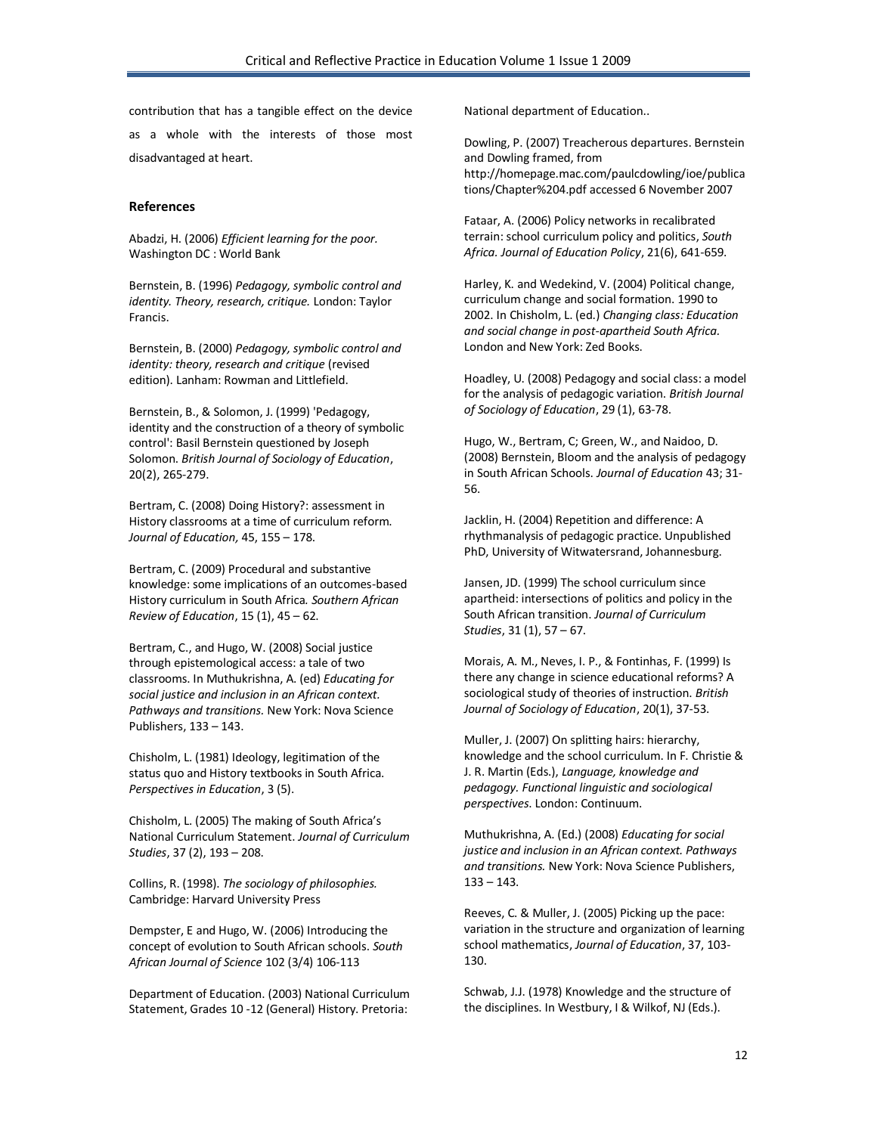contribution that has a tangible effect on the device

as a whole with the interests of those most disadvantaged at heart.

#### **References**

Abadzi, H. (2006) *Efficient learning for the poor.*  Washington DC : World Bank

Bernstein, B. (1996) *Pedagogy, symbolic control and identity. Theory, research, critique.* London: Taylor Francis.

Bernstein, B. (2000) *Pedagogy, symbolic control and identity: theory, research and critique* (revised edition). Lanham: Rowman and Littlefield.

Bernstein, B., & Solomon, J. (1999) 'Pedagogy, identity and the construction of a theory of symbolic control': Basil Bernstein questioned by Joseph Solomon. *British Journal of Sociology of Education*, 20(2), 265-279.

Bertram, C. (2008) Doing History?: assessment in History classrooms at a time of curriculum reform. *Journal of Education,* 45, 155 – 178.

Bertram, C. (2009) Procedural and substantive knowledge: some implications of an outcomes-based History curriculum in South Africa*. Southern African Review of Education*, 15 (1), 45 – 62.

Bertram, C., and Hugo, W. (2008) Social justice through epistemological access: a tale of two classrooms. In Muthukrishna, A. (ed) *Educating for social justice and inclusion in an African context. Pathways and transitions.* New York: Nova Science Publishers, 133 – 143.

Chisholm, L. (1981) Ideology, legitimation of the status quo and History textbooks in South Africa. *Perspectives in Education*, 3 (5).

Chisholm, L. (2005) The making of South Africa's National Curriculum Statement. *Journal of Curriculum Studies*, 37 (2), 193 – 208.

Collins, R. (1998). *The sociology of philosophies.*  Cambridge: Harvard University Press

Dempster, E and Hugo, W. (2006) Introducing the concept of evolution to South African schools. *South African Journal of Science* 102 (3/4) 106-113

Department of Education. (2003) National Curriculum Statement, Grades 10 -12 (General) History. Pretoria:

National department of Education..

Dowling, P. (2007) Treacherous departures. Bernstein and Dowling framed, from http://homepage.mac.com/paulcdowling/ioe/publica tions/Chapter%204.pdf accessed 6 November 2007

Fataar, A. (2006) Policy networks in recalibrated terrain: school curriculum policy and politics, *South Africa. Journal of Education Policy*, 21(6), 641-659.

Harley, K. and Wedekind, V. (2004) Political change, curriculum change and social formation. 1990 to 2002. In Chisholm, L. (ed.) *Changing class: Education and social change in post-apartheid South Africa.* London and New York: Zed Books.

Hoadley, U. (2008) Pedagogy and social class: a model for the analysis of pedagogic variation. *British Journal of Sociology of Education*, 29 (1), 63-78.

Hugo, W., Bertram, C; Green, W., and Naidoo, D. (2008) Bernstein, Bloom and the analysis of pedagogy in South African Schools. *Journal of Education* 43; 31- 56.

Jacklin, H. (2004) Repetition and difference: A rhythmanalysis of pedagogic practice. Unpublished PhD, University of Witwatersrand, Johannesburg.

Jansen, JD. (1999) The school curriculum since apartheid: intersections of politics and policy in the South African transition. *Journal of Curriculum Studies*, 31 (1), 57 – 67.

Morais, A. M., Neves, I. P., & Fontinhas, F. (1999) Is there any change in science educational reforms? A sociological study of theories of instruction. *British Journal of Sociology of Education*, 20(1), 37-53.

Muller, J. (2007) On splitting hairs: hierarchy, knowledge and the school curriculum. In F. Christie & J. R. Martin (Eds.), *Language, knowledge and pedagogy. Functional linguistic and sociological perspectives*. London: Continuum.

Muthukrishna, A. (Ed.) (2008) *Educating for social justice and inclusion in an African context. Pathways and transitions.* New York: Nova Science Publishers,  $133 - 143.$ 

Reeves, C. & Muller, J. (2005) Picking up the pace: variation in the structure and organization of learning school mathematics, *Journal of Education*, 37, 103- 130.

Schwab, J.J. (1978) Knowledge and the structure of the disciplines. In Westbury, I & Wilkof, NJ (Eds.).